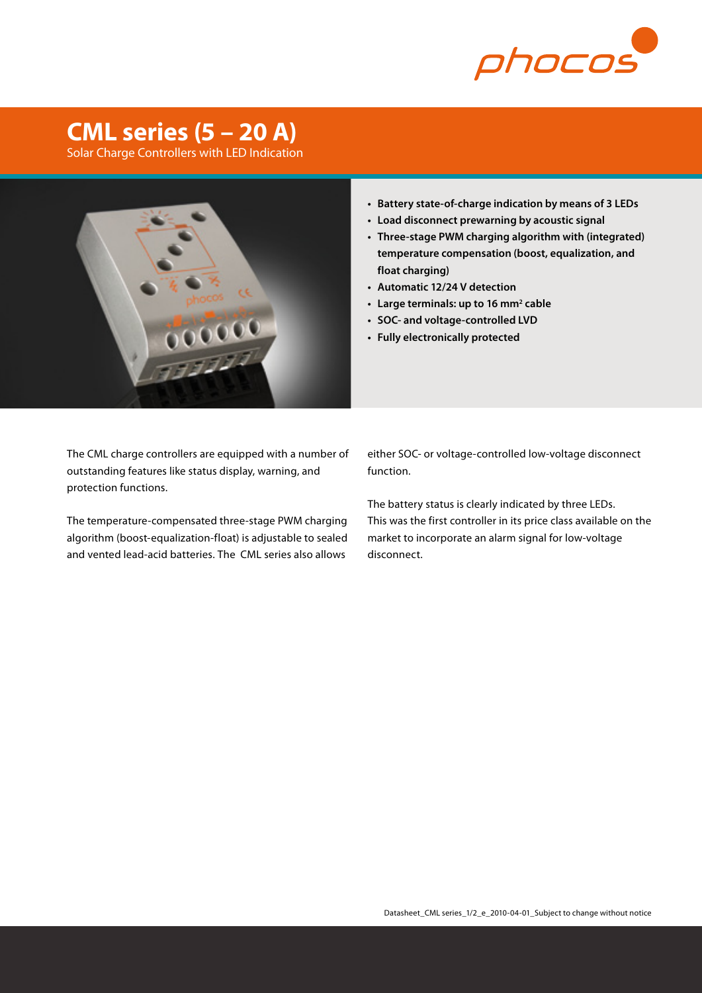

## **CML series (5 – 20 A)**

Solar Charge Controllers with LED Indication



- **• Battery state-of-charge indication by means of 3 LEDs**
- **• Load disconnect prewarning by acoustic signal**
- **• Three-stage PWM charging algorithm with (integrated) temperature compensation (boost, equalization, and float charging)**
- **• Automatic 12/24 V detection**
- **• Large terminals: up to 16 mm2 cable**
- **• SOC- and voltage-controlled LVD**
- **• Fully electronically protected**

The CML charge controllers are equipped with a number of outstanding features like status display, warning, and protection functions.

The temperature-compensated three-stage PWM charging algorithm (boost-equalization-float) is adjustable to sealed and vented lead-acid batteries. The CML series also allows

either SOC- or voltage-controlled low-voltage disconnect function.

The battery status is clearly indicated by three LEDs. This was the first controller in its price class available on the market to incorporate an alarm signal for low-voltage disconnect.